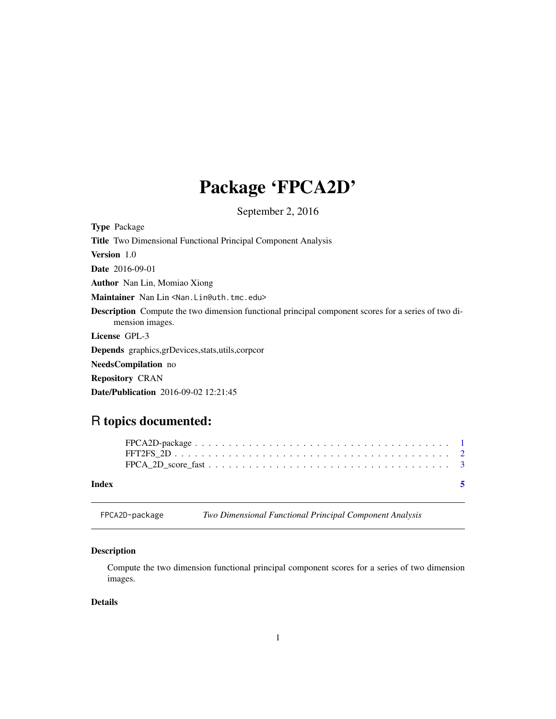## <span id="page-0-0"></span>Package 'FPCA2D'

September 2, 2016

Type Package Title Two Dimensional Functional Principal Component Analysis Version 1.0 Date 2016-09-01 Author Nan Lin, Momiao Xiong Maintainer Nan Lin<Nan.Lin@uth.tmc.edu> Description Compute the two dimension functional principal component scores for a series of two dimension images. License GPL-3 Depends graphics,grDevices,stats,utils,corpcor NeedsCompilation no Repository CRAN

Date/Publication 2016-09-02 12:21:45

### R topics documented:

| Index |  |
|-------|--|
|       |  |
|       |  |

FPCA2D-package *Two Dimensional Functional Principal Component Analysis*

#### Description

Compute the two dimension functional principal component scores for a series of two dimension images.

#### Details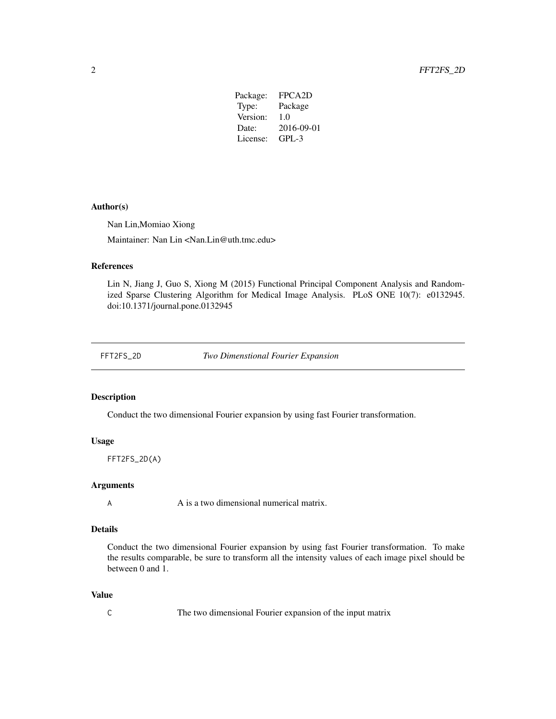| Package: | FPCA <sub>2</sub> D |
|----------|---------------------|
| Type:    | Package             |
| Version: | 1.0                 |
| Date:    | 2016-09-01          |
| License: | $GPI - 3$           |
|          |                     |

#### <span id="page-1-0"></span>Author(s)

Nan Lin,Momiao Xiong

Maintainer: Nan Lin <Nan.Lin@uth.tmc.edu>

#### References

Lin N, Jiang J, Guo S, Xiong M (2015) Functional Principal Component Analysis and Randomized Sparse Clustering Algorithm for Medical Image Analysis. PLoS ONE 10(7): e0132945. doi:10.1371/journal.pone.0132945

FFT2FS\_2D *Two Dimenstional Fourier Expansion*

#### Description

Conduct the two dimensional Fourier expansion by using fast Fourier transformation.

#### Usage

FFT2FS\_2D(A)

#### Arguments

A A is a two dimensional numerical matrix.

#### Details

Conduct the two dimensional Fourier expansion by using fast Fourier transformation. To make the results comparable, be sure to transform all the intensity values of each image pixel should be between 0 and 1.

#### Value

C The two dimensional Fourier expansion of the input matrix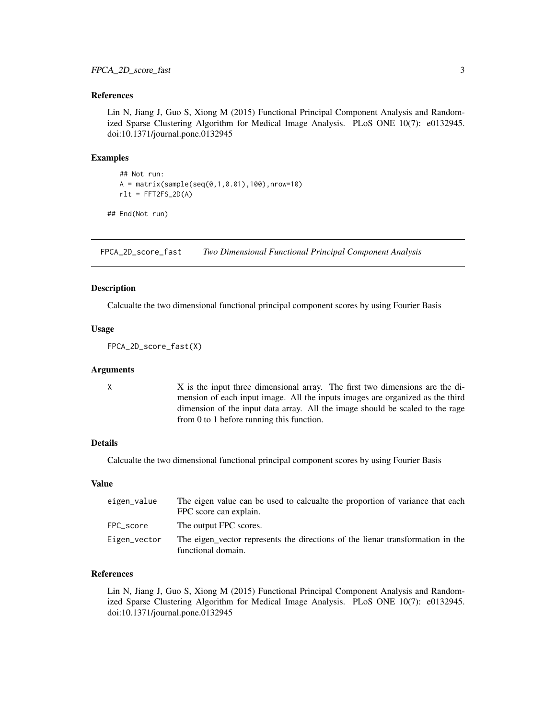#### <span id="page-2-0"></span>References

Lin N, Jiang J, Guo S, Xiong M (2015) Functional Principal Component Analysis and Randomized Sparse Clustering Algorithm for Medical Image Analysis. PLoS ONE 10(7): e0132945. doi:10.1371/journal.pone.0132945

#### Examples

```
## Not run:
A = matrix(sample(seq(0,1,0.01),100),nrow=10)rlt = FFT2FS_2D(A)
```
## End(Not run)

FPCA\_2D\_score\_fast *Two Dimensional Functional Principal Component Analysis*

#### **Description**

Calcualte the two dimensional functional principal component scores by using Fourier Basis

#### Usage

FPCA\_2D\_score\_fast(X)

#### Arguments

X X is the input three dimensional array. The first two dimensions are the dimension of each input image. All the inputs images are organized as the third dimension of the input data array. All the image should be scaled to the rage from 0 to 1 before running this function.

#### Details

Calcualte the two dimensional functional principal component scores by using Fourier Basis

#### Value

| eigen_value  | The eigen value can be used to calcualte the proportion of variance that each<br>FPC score can explain. |
|--------------|---------------------------------------------------------------------------------------------------------|
| FPC score    | The output FPC scores.                                                                                  |
| Eigen_vector | The eigen vector represents the directions of the lienar transformation in the<br>functional domain.    |

#### References

Lin N, Jiang J, Guo S, Xiong M (2015) Functional Principal Component Analysis and Randomized Sparse Clustering Algorithm for Medical Image Analysis. PLoS ONE 10(7): e0132945. doi:10.1371/journal.pone.0132945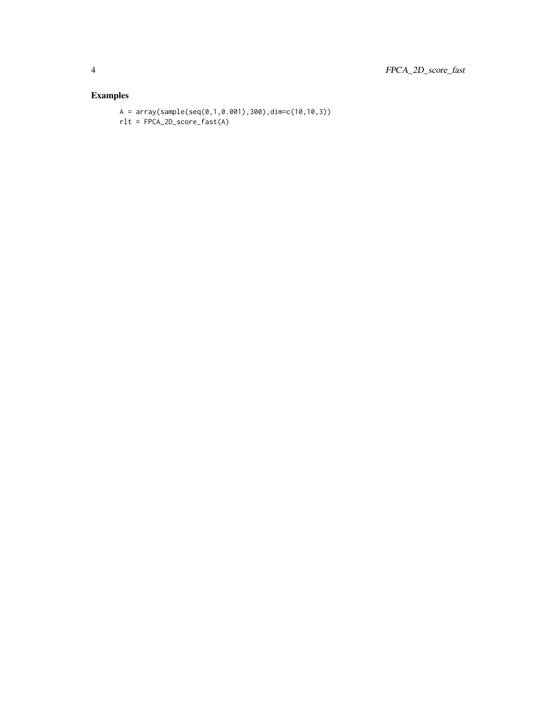#### Examples

 $A = array(sample(seq(0,1,0.001),300),dim=c(10,10,3))$ rlt = FPCA\_2D\_score\_fast(A)